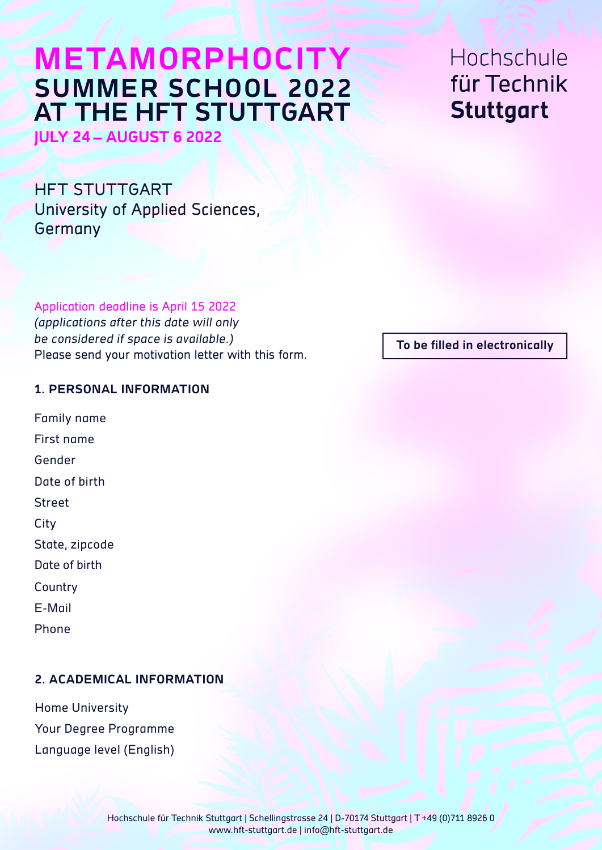# **METAMORPHOCITY SUMMER SCHOOL 2022 AT THE HFT STUTTGART**

**JULY 24– AUGUST 6 2022**

HFT STUTTGART University of Applied Sciences, Germany

Application deadline is April 15 2022

(applications after this date will only be considered if space is available.) Please send your motivation letter with this form.

#### **1. PERSONAL INFORMATION**

Family name First name Gender Date of birth Street City State, zipcode Date of birth **Country** E-Mail

Phone

### **2. ACADEMICAL INFORMATION**

Home University Your Degree Programme Language level (English) Hochschule für Technik **Stuttgart** 

**To be filled in electronically**